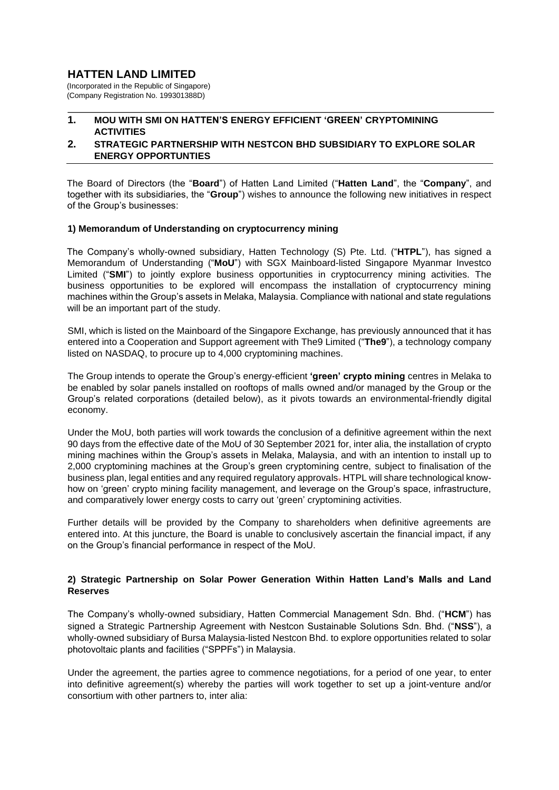# **HATTEN LAND LIMITED**

(Incorporated in the Republic of Singapore) (Company Registration No. 199301388D)

## **1. MOU WITH SMI ON HATTEN'S ENERGY EFFICIENT 'GREEN' CRYPTOMINING ACTIVITIES**

### **2. STRATEGIC PARTNERSHIP WITH NESTCON BHD SUBSIDIARY TO EXPLORE SOLAR ENERGY OPPORTUNTIES**

The Board of Directors (the "**Board**") of Hatten Land Limited ("**Hatten Land**", the "**Company**", and together with its subsidiaries, the "**Group**") wishes to announce the following new initiatives in respect of the Group's businesses:

#### **1) Memorandum of Understanding on cryptocurrency mining**

The Company's wholly-owned subsidiary, Hatten Technology (S) Pte. Ltd. ("**HTPL**"), has signed a Memorandum of Understanding ("**MoU**") with SGX Mainboard-listed Singapore Myanmar Investco Limited ("**SMI**") to jointly explore business opportunities in cryptocurrency mining activities. The business opportunities to be explored will encompass the installation of cryptocurrency mining machines within the Group's assets in Melaka, Malaysia. Compliance with national and state regulations will be an important part of the study.

SMI, which is listed on the Mainboard of the Singapore Exchange, has previously announced that it has entered into a Cooperation and Support agreement with The9 Limited ("**The9**"), a technology company listed on NASDAQ, to procure up to 4,000 cryptomining machines.

The Group intends to operate the Group's energy-efficient **'green' crypto mining** centres in Melaka to be enabled by solar panels installed on rooftops of malls owned and/or managed by the Group or the Group's related corporations (detailed below), as it pivots towards an environmental-friendly digital economy.

Under the MoU, both parties will work towards the conclusion of a definitive agreement within the next 90 days from the effective date of the MoU of 30 September 2021 for, inter alia, the installation of crypto mining machines within the Group's assets in Melaka, Malaysia, and with an intention to install up to 2,000 cryptomining machines at the Group's green cryptomining centre, subject to finalisation of the business plan, legal entities and any required regulatory approvals. HTPL will share technological knowhow on 'green' crypto mining facility management, and leverage on the Group's space, infrastructure, and comparatively lower energy costs to carry out 'green' cryptomining activities.

Further details will be provided by the Company to shareholders when definitive agreements are entered into. At this juncture, the Board is unable to conclusively ascertain the financial impact, if any on the Group's financial performance in respect of the MoU.

## **2) Strategic Partnership on Solar Power Generation Within Hatten Land's Malls and Land Reserves**

The Company's wholly-owned subsidiary, Hatten Commercial Management Sdn. Bhd. ("**HCM**") has signed a Strategic Partnership Agreement with Nestcon Sustainable Solutions Sdn. Bhd. ("**NSS**"), a wholly-owned subsidiary of Bursa Malaysia-listed Nestcon Bhd. to explore opportunities related to solar photovoltaic plants and facilities ("SPPFs") in Malaysia.

Under the agreement, the parties agree to commence negotiations, for a period of one year, to enter into definitive agreement(s) whereby the parties will work together to set up a joint-venture and/or consortium with other partners to, inter alia: